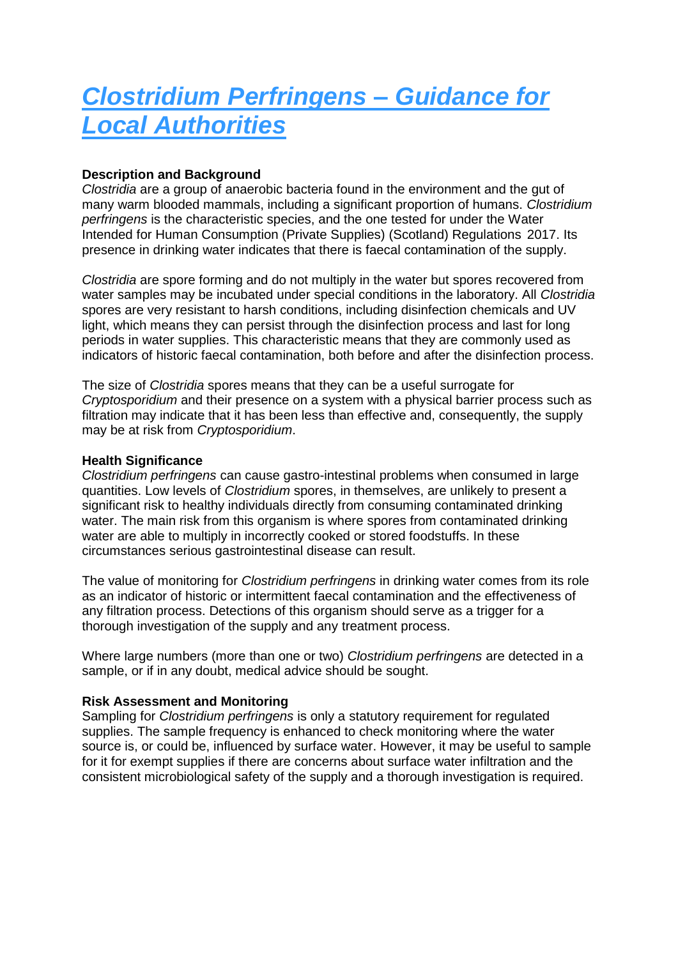# *Clostridium Perfringens – Guidance for Local Authorities*

## **Description and Background**

*Clostridia* are a group of anaerobic bacteria found in the environment and the gut of many warm blooded mammals, including a significant proportion of humans. *Clostridium perfringens* is the characteristic species, and the one tested for under the Water Intended for Human Consumption (Private Supplies) (Scotland) Regulations 2017. Its presence in drinking water indicates that there is faecal contamination of the supply.

*Clostridia* are spore forming and do not multiply in the water but spores recovered from water samples may be incubated under special conditions in the laboratory. All *Clostridia*  spores are very resistant to harsh conditions, including disinfection chemicals and UV light, which means they can persist through the disinfection process and last for long periods in water supplies. This characteristic means that they are commonly used as indicators of historic faecal contamination, both before and after the disinfection process.

The size of *Clostridia* spores means that they can be a useful surrogate for *Cryptosporidium* and their presence on a system with a physical barrier process such as filtration may indicate that it has been less than effective and, consequently, the supply may be at risk from *Cryptosporidium*.

### **Health Significance**

*Clostridium perfringens* can cause gastro-intestinal problems when consumed in large quantities. Low levels of *Clostridium* spores, in themselves, are unlikely to present a significant risk to healthy individuals directly from consuming contaminated drinking water. The main risk from this organism is where spores from contaminated drinking water are able to multiply in incorrectly cooked or stored foodstuffs. In these circumstances serious gastrointestinal disease can result.

The value of monitoring for *Clostridium perfringens* in drinking water comes from its role as an indicator of historic or intermittent faecal contamination and the effectiveness of any filtration process. Detections of this organism should serve as a trigger for a thorough investigation of the supply and any treatment process.

Where large numbers (more than one or two) *Clostridium perfringens* are detected in a sample, or if in any doubt, medical advice should be sought.

## **Risk Assessment and Monitoring**

Sampling for *Clostridium perfringens* is only a statutory requirement for regulated supplies. The sample frequency is enhanced to check monitoring where the water source is, or could be, influenced by surface water. However, it may be useful to sample for it for exempt supplies if there are concerns about surface water infiltration and the consistent microbiological safety of the supply and a thorough investigation is required.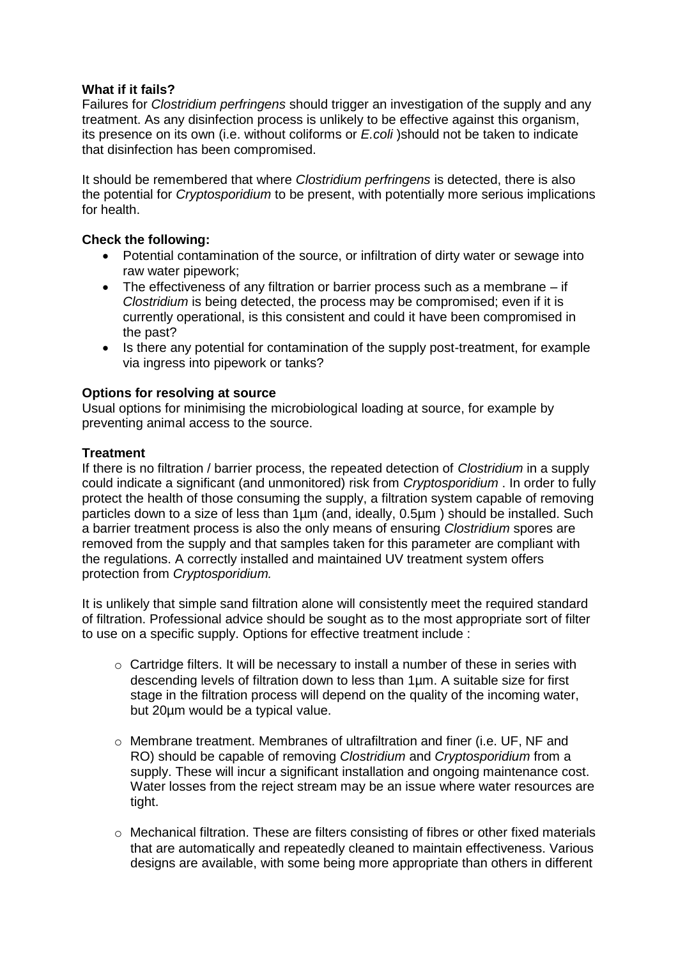## **What if it fails?**

Failures for *Clostridium perfringens* should trigger an investigation of the supply and any treatment. As any disinfection process is unlikely to be effective against this organism, its presence on its own (i.e. without coliforms or *E.coli* )should not be taken to indicate that disinfection has been compromised.

It should be remembered that where *Clostridium perfringens* is detected, there is also the potential for *Cryptosporidium* to be present, with potentially more serious implications for health.

## **Check the following:**

- Potential contamination of the source, or infiltration of dirty water or sewage into raw water pipework;
- The effectiveness of any filtration or barrier process such as a membrane if *Clostridium* is being detected, the process may be compromised; even if it is currently operational, is this consistent and could it have been compromised in the past?
- Is there any potential for contamination of the supply post-treatment, for example via ingress into pipework or tanks?

## **Options for resolving at source**

Usual options for minimising the microbiological loading at source, for example by preventing animal access to the source.

## **Treatment**

If there is no filtration / barrier process, the repeated detection of *Clostridium* in a supply could indicate a significant (and unmonitored) risk from *Cryptosporidium* . In order to fully protect the health of those consuming the supply, a filtration system capable of removing particles down to a size of less than 1µm (and, ideally, 0.5µm ) should be installed. Such a barrier treatment process is also the only means of ensuring *Clostridium* spores are removed from the supply and that samples taken for this parameter are compliant with the regulations. A correctly installed and maintained UV treatment system offers protection from *Cryptosporidium.* 

It is unlikely that simple sand filtration alone will consistently meet the required standard of filtration. Professional advice should be sought as to the most appropriate sort of filter to use on a specific supply. Options for effective treatment include :

- o Cartridge filters. It will be necessary to install a number of these in series with descending levels of filtration down to less than 1µm. A suitable size for first stage in the filtration process will depend on the quality of the incoming water, but 20µm would be a typical value.
- $\circ$  Membrane treatment. Membranes of ultrafiltration and finer (i.e. UF, NF and RO) should be capable of removing *Clostridium* and *Cryptosporidium* from a supply. These will incur a significant installation and ongoing maintenance cost. Water losses from the reject stream may be an issue where water resources are tight.
- $\circ$  Mechanical filtration. These are filters consisting of fibres or other fixed materials that are automatically and repeatedly cleaned to maintain effectiveness. Various designs are available, with some being more appropriate than others in different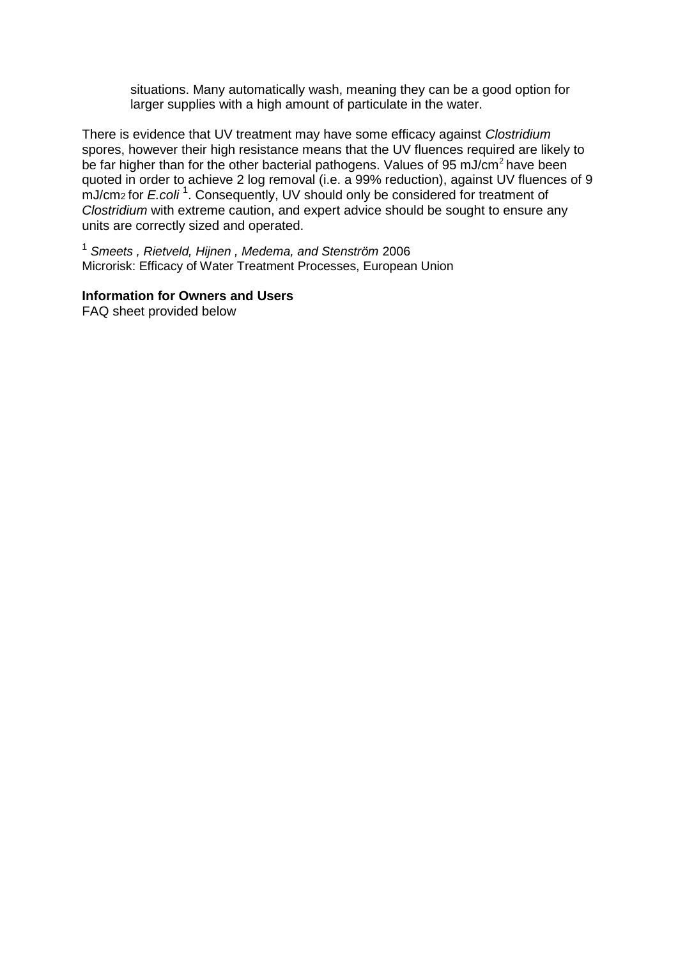situations. Many automatically wash, meaning they can be a good option for larger supplies with a high amount of particulate in the water.

There is evidence that UV treatment may have some efficacy against *Clostridium*  spores, however their high resistance means that the UV fluences required are likely to be far higher than for the other bacterial pathogens. Values of 95 mJ/cm<sup>2</sup> have been quoted in order to achieve 2 log removal (i.e. a 99% reduction), against UV fluences of 9 mJ/cm2 for *E.coli* <sup>1</sup> . Consequently, UV should only be considered for treatment of *Clostridium* with extreme caution, and expert advice should be sought to ensure any units are correctly sized and operated.

<sup>1</sup> *Smeets , Rietveld, Hijnen , Medema, and Stenström* 2006 Microrisk: Efficacy of Water Treatment Processes, European Union

#### **Information for Owners and Users**

FAQ sheet provided below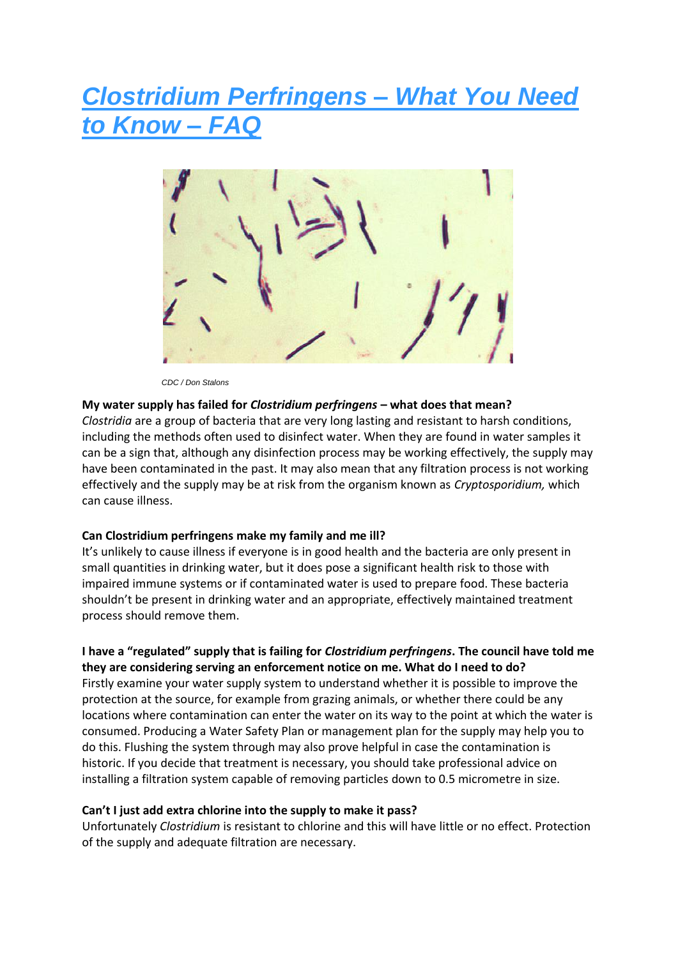## *Clostridium Perfringens – What You Need to Know – FAQ*



 *CDC / Don Stalons*

#### **My water supply has failed for** *Clostridium perfringens* **– what does that mean?**

*Clostridia* are a group of bacteria that are very long lasting and resistant to harsh conditions, including the methods often used to disinfect water. When they are found in water samples it can be a sign that, although any disinfection process may be working effectively, the supply may have been contaminated in the past. It may also mean that any filtration process is not working effectively and the supply may be at risk from the organism known as *Cryptosporidium,* which can cause illness.

#### **Can Clostridium perfringens make my family and me ill?**

It's unlikely to cause illness if everyone is in good health and the bacteria are only present in small quantities in drinking water, but it does pose a significant health risk to those with impaired immune systems or if contaminated water is used to prepare food. These bacteria shouldn't be present in drinking water and an appropriate, effectively maintained treatment process should remove them.

### **I have a "regulated" supply that is failing for** *Clostridium perfringens***. The council have told me they are considering serving an enforcement notice on me. What do I need to do?**

Firstly examine your water supply system to understand whether it is possible to improve the protection at the source, for example from grazing animals, or whether there could be any locations where contamination can enter the water on its way to the point at which the water is consumed. Producing a Water Safety Plan or management plan for the supply may help you to do this. Flushing the system through may also prove helpful in case the contamination is historic. If you decide that treatment is necessary, you should take professional advice on installing a filtration system capable of removing particles down to 0.5 micrometre in size.

#### **Can't I just add extra chlorine into the supply to make it pass?**

Unfortunately *Clostridium* is resistant to chlorine and this will have little or no effect. Protection of the supply and adequate filtration are necessary.